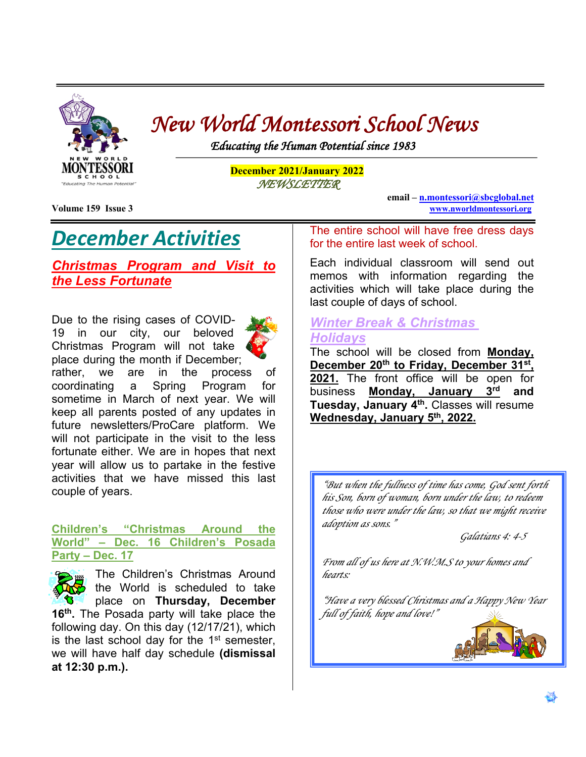

# *New World Montessori School News Educating the Human Potential since 1983*

Ļ

**December 2021/January 2022** *NEWSLETTER* 

## *December Activities*

## *Christmas Program and Visit to the Less Fortunate*

Due to the rising cases of COVID-19 in our city, our beloved Christmas Program will not take place during the month if December;



rather, we are in the process of coordinating a Spring Program for sometime in March of next year. We will keep all parents posted of any updates in future newsletters/ProCare platform. We will not participate in the visit to the less fortunate either. We are in hopes that next year will allow us to partake in the festive activities that we have missed this last couple of years.

### **Children's "Christmas Around the World" – Dec. 16 Children's Posada Party – Dec. 17**

The Children's Christmas Around the World is scheduled to take place on **Thursday, December 16th.** The Posada party will take place the following day. On this day (12/17/21), which is the last school day for the  $1<sup>st</sup>$  semester, we will have half day schedule **(dismissal at 12:30 p.m.).**

**Volume 159 Issue 3 www.nworldmontessori.org** 

**email – n.montessori@sbcglobal.net** 

The entire school will have free dress days for the entire last week of school.

Each individual classroom will send out memos with information regarding the activities which will take place during the last couple of days of school.

## *Winter Break & Christmas Holidays*

The school will be closed from **Monday, December 20th to Friday, December 31st, 2021.** The front office will be open for business **Monday, January 3rd and Tuesday, January 4th.** Classes will resume **Wednesday, January 5th, 2022.**

*"But when the fullness of time has come, God sent forth his Son, born of woman, born under the law, to redeem those who were under the law, so that we might receive adoption as sons."* 

*Galatians 4: 4-5*

*From all of us here at N.W.M.S to your homes and hearts:*

*"Have a very blessed Christmas and a Happy New Year full of faith, hope and love!"*